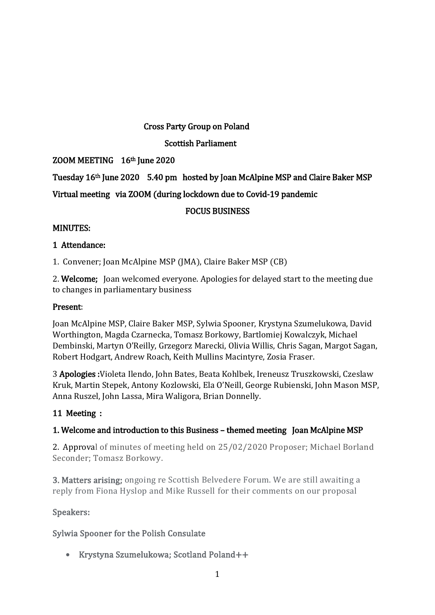#### Cross Party Group on Poland

### Scottish Parliament

## ZOOM MEETING 16th June 2020

# Tuesday 16th June 2020 5.40 pm hosted by Joan McAlpine MSP and Claire Baker MSP

# Virtual meeting via ZOOM (during lockdown due to Covid-19 pandemic

## FOCUS BUSINESS

## MINUTES:

### 1 Attendance:

1. Convener; Joan McAlpine MSP (JMA), Claire Baker MSP (CB)

2. Welcome; Joan welcomed everyone. Apologies for delayed start to the meeting due to changes in parliamentary business

### Present:

Joan McAlpine MSP, Claire Baker MSP, Sylwia Spooner, Krystyna Szumelukowa, David Worthington, Magda Czarnecka, Tomasz Borkowy, Bartlomiej Kowalczyk, Michael Dembinski, Martyn O'Reilly, Grzegorz Marecki, Olivia Willis, Chris Sagan, Margot Sagan, Robert Hodgart, Andrew Roach, Keith Mullins Macintyre, Zosia Fraser.

3 Apologies :Violeta Ilendo, John Bates, Beata Kohlbek, Ireneusz Truszkowski, Czeslaw Kruk, Martin Stepek, Antony Kozlowski, Ela O'Neill, George Rubienski, John Mason MSP, Anna Ruszel, John Lassa, Mira Waligora, Brian Donnelly.

### 11 Meeting :

### 1. Welcome and introduction to this Business – themed meeting Joan McAlpine MSP

2. Approval of minutes of meeting held on 25/02/2020 Proposer; Michael Borland Seconder; Tomasz Borkowy.

3. Matters arising; ongoing re Scottish Belvedere Forum. We are still awaiting a reply from Fiona Hyslop and Mike Russell for their comments on our proposal

### Speakers:

# Sylwia Spooner for the Polish Consulate

Krystyna Szumelukowa; Scotland Poland++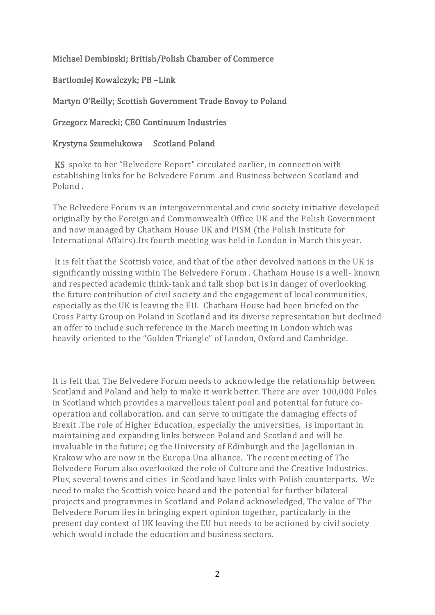### Michael Dembinski; British/Polish Chamber of Commerce

Bartlomiej Kowalczyk; PB –Link

## Martyn O'Reilly; Scottish Government Trade Envoy to Poland

### Grzegorz Marecki; CEO Continuum Industries

## Krystyna Szumelukowa Scotland Poland

 KS spoke to her "Belvedere Report" circulated earlier, in connection with establishing links for he Belvedere Forum and Business between Scotland and Poland .

The Belvedere Forum is an intergovernmental and civic society initiative developed originally by the Foreign and Commonwealth Office UK and the Polish Government and now managed by Chatham House UK and PISM (the Polish Institute for International Affairs).Its fourth meeting was held in London in March this year.

It is felt that the Scottish voice, and that of the other devolved nations in the UK is significantly missing within The Belvedere Forum . Chatham House is a well- known and respected academic think-tank and talk shop but is in danger of overlooking the future contribution of civil society and the engagement of local communities, especially as the UK is leaving the EU. Chatham House had been briefed on the Cross Party Group on Poland in Scotland and its diverse representation but declined an offer to include such reference in the March meeting in London which was heavily oriented to the "Golden Triangle" of London, Oxford and Cambridge.

It is felt that The Belvedere Forum needs to acknowledge the relationship between Scotland and Poland and help to make it work better. There are over 100,000 Poles in Scotland which provides a marvellous talent pool and potential for future cooperation and collaboration. and can serve to mitigate the damaging effects of Brexit .The role of Higher Education, especially the universities, is important in maintaining and expanding links between Poland and Scotland and will be invaluable in the future; eg the University of Edinburgh and the Jagellonian in Krakow who are now in the Europa Una alliance. The recent meeting of The Belvedere Forum also overlooked the role of Culture and the Creative Industries. Plus, several towns and cities in Scotland have links with Polish counterparts. We need to make the Scottish voice heard and the potential for further bilateral projects and programmes in Scotland and Poland acknowledged, The value of The Belvedere Forum lies in bringing expert opinion together, particularly in the present day context of UK leaving the EU but needs to be actioned by civil society which would include the education and business sectors.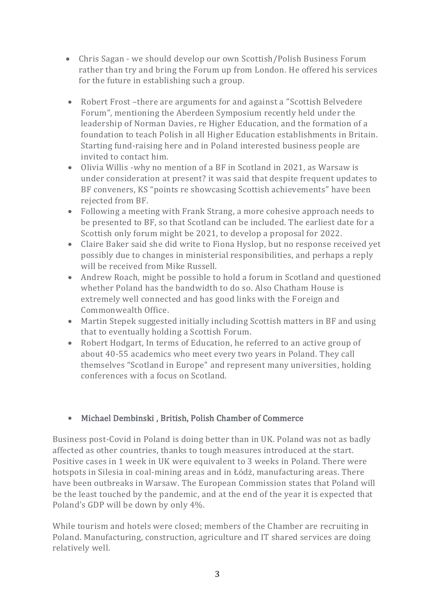- Chris Sagan we should develop our own Scottish/Polish Business Forum rather than try and bring the Forum up from London. He offered his services for the future in establishing such a group.
- Robert Frost –there are arguments for and against a "Scottish Belvedere Forum", mentioning the Aberdeen Symposium recently held under the leadership of Norman Davies, re Higher Education, and the formation of a foundation to teach Polish in all Higher Education establishments in Britain. Starting fund-raising here and in Poland interested business people are invited to contact him.
- Olivia Willis -why no mention of a BF in Scotland in 2021, as Warsaw is under consideration at present? it was said that despite frequent updates to BF conveners, KS "points re showcasing Scottish achievements" have been rejected from BF.
- Following a meeting with Frank Strang, a more cohesive approach needs to be presented to BF, so that Scotland can be included. The earliest date for a Scottish only forum might be 2021, to develop a proposal for 2022.
- Claire Baker said she did write to Fiona Hyslop, but no response received yet possibly due to changes in ministerial responsibilities, and perhaps a reply will be received from Mike Russell.
- Andrew Roach, might be possible to hold a forum in Scotland and questioned whether Poland has the bandwidth to do so. Also Chatham House is extremely well connected and has good links with the Foreign and Commonwealth Office.
- Martin Stepek suggested initially including Scottish matters in BF and using that to eventually holding a Scottish Forum.
- Robert Hodgart, In terms of Education, he referred to an active group of about 40-55 academics who meet every two years in Poland. They call themselves "Scotland in Europe" and represent many universities, holding conferences with a focus on Scotland.

# Michael Dembinski , British, Polish Chamber of Commerce

Business post-Covid in Poland is doing better than in UK. Poland was not as badly affected as other countries, thanks to tough measures introduced at the start. Positive cases in 1 week in UK were equivalent to 3 weeks in Poland. There were hotspots in Silesia in coal-mining areas and in Łódż, manufacturing areas. There have been outbreaks in Warsaw. The European Commission states that Poland will be the least touched by the pandemic, and at the end of the year it is expected that Poland's GDP will be down by only 4%.

While tourism and hotels were closed; members of the Chamber are recruiting in Poland. Manufacturing, construction, agriculture and IT shared services are doing relatively well.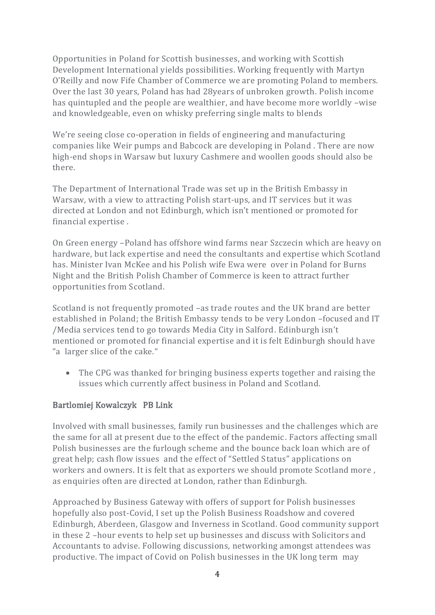Opportunities in Poland for Scottish businesses, and working with Scottish Development International yields possibilities. Working frequently with Martyn O'Reilly and now Fife Chamber of Commerce we are promoting Poland to members. Over the last 30 years, Poland has had 28years of unbroken growth. Polish income has quintupled and the people are wealthier, and have become more worldly –wise and knowledgeable, even on whisky preferring single malts to blends

We're seeing close co-operation in fields of engineering and manufacturing companies like Weir pumps and Babcock are developing in Poland . There are now high-end shops in Warsaw but luxury Cashmere and woollen goods should also be there.

The Department of International Trade was set up in the British Embassy in Warsaw, with a view to attracting Polish start-ups, and IT services but it was directed at London and not Edinburgh, which isn't mentioned or promoted for financial expertise .

On Green energy –Poland has offshore wind farms near Szczecin which are heavy on hardware, but lack expertise and need the consultants and expertise which Scotland has. Minister Ivan McKee and his Polish wife Ewa were over in Poland for Burns Night and the British Polish Chamber of Commerce is keen to attract further opportunities from Scotland.

Scotland is not frequently promoted –as trade routes and the UK brand are better established in Poland; the British Embassy tends to be very London –focused and IT /Media services tend to go towards Media City in Salford. Edinburgh isn't mentioned or promoted for financial expertise and it is felt Edinburgh should have "a larger slice of the cake."

 The CPG was thanked for bringing business experts together and raising the issues which currently affect business in Poland and Scotland.

### Bartlomiej Kowalczyk PB Link

Involved with small businesses, family run businesses and the challenges which are the same for all at present due to the effect of the pandemic. Factors affecting small Polish businesses are the furlough scheme and the bounce back loan which are of great help; cash flow issues and the effect of "Settled Status" applications on workers and owners. It is felt that as exporters we should promote Scotland more , as enquiries often are directed at London, rather than Edinburgh.

Approached by Business Gateway with offers of support for Polish businesses hopefully also post-Covid, I set up the Polish Business Roadshow and covered Edinburgh, Aberdeen, Glasgow and Inverness in Scotland. Good community support in these 2 –hour events to help set up businesses and discuss with Solicitors and Accountants to advise. Following discussions, networking amongst attendees was productive. The impact of Covid on Polish businesses in the UK long term may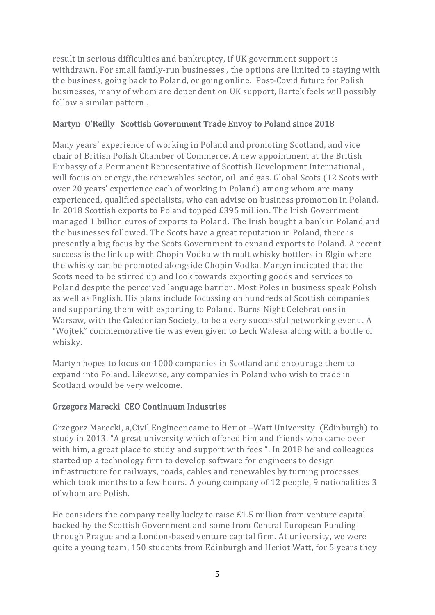result in serious difficulties and bankruptcy, if UK government support is withdrawn. For small family-run businesses , the options are limited to staying with the business, going back to Poland, or going online. Post-Covid future for Polish businesses, many of whom are dependent on UK support, Bartek feels will possibly follow a similar pattern .

### Martyn O'Reilly Scottish Government Trade Envoy to Poland since 2018

Many years' experience of working in Poland and promoting Scotland, and vice chair of British Polish Chamber of Commerce. A new appointment at the British Embassy of a Permanent Representative of Scottish Development International , will focus on energy ,the renewables sector, oil and gas. Global Scots (12 Scots with over 20 years' experience each of working in Poland) among whom are many experienced, qualified specialists, who can advise on business promotion in Poland. In 2018 Scottish exports to Poland topped £395 million. The Irish Government managed 1 billion euros of exports to Poland. The Irish bought a bank in Poland and the businesses followed. The Scots have a great reputation in Poland, there is presently a big focus by the Scots Government to expand exports to Poland. A recent success is the link up with Chopin Vodka with malt whisky bottlers in Elgin where the whisky can be promoted alongside Chopin Vodka. Martyn indicated that the Scots need to be stirred up and look towards exporting goods and services to Poland despite the perceived language barrier. Most Poles in business speak Polish as well as English. His plans include focussing on hundreds of Scottish companies and supporting them with exporting to Poland. Burns Night Celebrations in Warsaw, with the Caledonian Society, to be a very successful networking event . A "Wojtek" commemorative tie was even given to Lech Walesa along with a bottle of whisky.

Martyn hopes to focus on 1000 companies in Scotland and encourage them to expand into Poland. Likewise, any companies in Poland who wish to trade in Scotland would be very welcome.

### Grzegorz Marecki CEO Continuum Industries

Grzegorz Marecki, a,Civil Engineer came to Heriot –Watt University (Edinburgh) to study in 2013. "A great university which offered him and friends who came over with him, a great place to study and support with fees ". In 2018 he and colleagues started up a technology firm to develop software for engineers to design infrastructure for railways, roads, cables and renewables by turning processes which took months to a few hours. A young company of 12 people, 9 nationalities 3 of whom are Polish.

He considers the company really lucky to raise £1.5 million from venture capital backed by the Scottish Government and some from Central European Funding through Prague and a London-based venture capital firm. At university, we were quite a young team, 150 students from Edinburgh and Heriot Watt, for 5 years they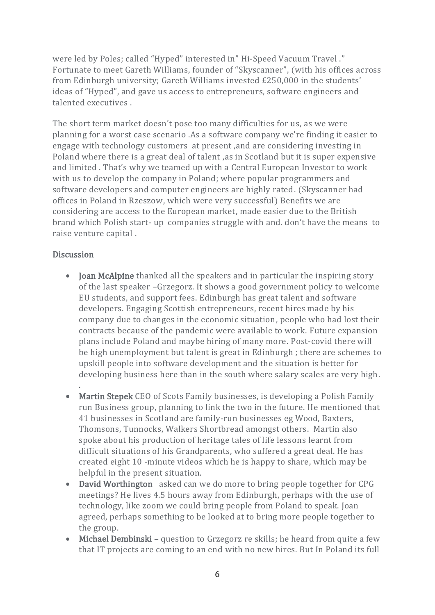were led by Poles; called "Hyped" interested in" Hi-Speed Vacuum Travel ." Fortunate to meet Gareth Williams, founder of "Skyscanner", (with his offices across from Edinburgh university; Gareth Williams invested £250,000 in the students' ideas of "Hyped", and gave us access to entrepreneurs, software engineers and talented executives .

The short term market doesn't pose too many difficulties for us, as we were planning for a worst case scenario .As a software company we're finding it easier to engage with technology customers at present ,and are considering investing in Poland where there is a great deal of talent ,as in Scotland but it is super expensive and limited . That's why we teamed up with a Central European Investor to work with us to develop the company in Poland; where popular programmers and software developers and computer engineers are highly rated. (Skyscanner had offices in Poland in Rzeszow, which were very successful) Benefits we are considering are access to the European market, made easier due to the British brand which Polish start- up companies struggle with and. don't have the means to raise venture capital .

#### **Discussion**

.

- Joan McAlpine thanked all the speakers and in particular the inspiring story of the last speaker –Grzegorz. It shows a good government policy to welcome EU students, and support fees. Edinburgh has great talent and software developers. Engaging Scottish entrepreneurs, recent hires made by his company due to changes in the economic situation, people who had lost their contracts because of the pandemic were available to work. Future expansion plans include Poland and maybe hiring of many more. Post-covid there will be high unemployment but talent is great in Edinburgh ; there are schemes to upskill people into software development and the situation is better for developing business here than in the south where salary scales are very high.
- Martin Stepek CEO of Scots Family businesses, is developing a Polish Family run Business group, planning to link the two in the future. He mentioned that 41 businesses in Scotland are family-run businesses eg Wood, Baxters, Thomsons, Tunnocks, Walkers Shortbread amongst others. Martin also spoke about his production of heritage tales of life lessons learnt from difficult situations of his Grandparents, who suffered a great deal. He has created eight 10 -minute videos which he is happy to share, which may be helpful in the present situation.
- David Worthington asked can we do more to bring people together for CPG meetings? He lives 4.5 hours away from Edinburgh, perhaps with the use of technology, like zoom we could bring people from Poland to speak. Joan agreed, perhaps something to be looked at to bring more people together to the group.
- Michael Dembinski question to Grzegorz re skills; he heard from quite a few that IT projects are coming to an end with no new hires. But In Poland its full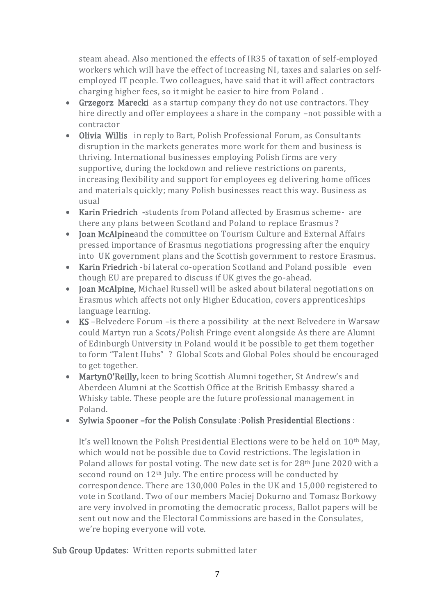steam ahead. Also mentioned the effects of IR35 of taxation of self-employed workers which will have the effect of increasing NI, taxes and salaries on selfemployed IT people. Two colleagues, have said that it will affect contractors charging higher fees, so it might be easier to hire from Poland .

- Grzegorz Marecki as a startup company they do not use contractors. They hire directly and offer employees a share in the company -not possible with a contractor
- Olivia Willis in reply to Bart, Polish Professional Forum, as Consultants disruption in the markets generates more work for them and business is thriving. International businesses employing Polish firms are very supportive, during the lockdown and relieve restrictions on parents, increasing flexibility and support for employees eg delivering home offices and materials quickly; many Polish businesses react this way. Business as usual
- Karin Friedrich -students from Poland affected by Erasmus scheme- are there any plans between Scotland and Poland to replace Erasmus ?
- Joan McAlpineand the committee on Tourism Culture and External Affairs pressed importance of Erasmus negotiations progressing after the enquiry into UK government plans and the Scottish government to restore Erasmus.
- Karin Friedrich -bi lateral co-operation Scotland and Poland possible even though EU are prepared to discuss if UK gives the go-ahead.
- Joan McAlpine, Michael Russell will be asked about bilateral negotiations on Erasmus which affects not only Higher Education, covers apprenticeships language learning.
- KS –Belvedere Forum –is there a possibility at the next Belvedere in Warsaw could Martyn run a Scots/Polish Fringe event alongside As there are Alumni of Edinburgh University in Poland would it be possible to get them together to form "Talent Hubs" ? Global Scots and Global Poles should be encouraged to get together.
- MartynO'Reilly, keen to bring Scottish Alumni together, St Andrew's and Aberdeen Alumni at the Scottish Office at the British Embassy shared a Whisky table. These people are the future professional management in Poland.

# • Sylwia Spooner –for the Polish Consulate : Polish Presidential Elections :

It's well known the Polish Presidential Elections were to be held on 10th May, which would not be possible due to Covid restrictions. The legislation in Poland allows for postal voting. The new date set is for 28th June 2020 with a second round on 12th July. The entire process will be conducted by correspondence. There are 130,000 Poles in the UK and 15,000 registered to vote in Scotland. Two of our members Maciej Dokurno and Tomasz Borkowy are very involved in promoting the democratic process, Ballot papers will be sent out now and the Electoral Commissions are based in the Consulates, we're hoping everyone will vote.

Sub Group Updates: Written reports submitted later